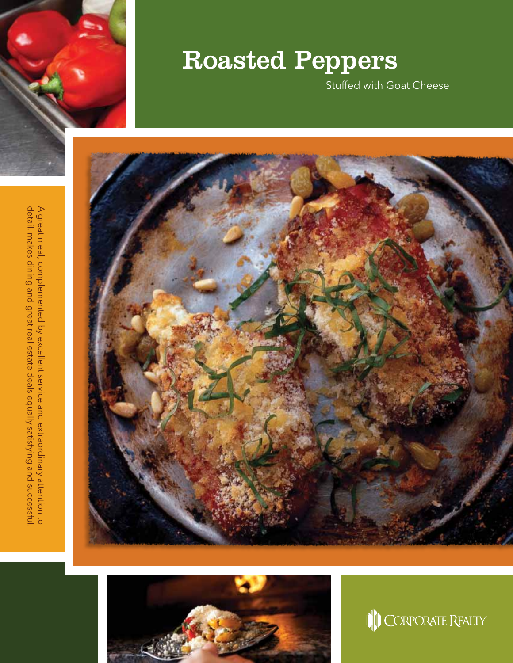

## Roasted Peppers

Stuffed with Goat Cheese







detail, makes dining and great real estate deals equally satisfying and successful A great meal, complemented by excellent service and extraordinary attention to detail, makes dining and great real estate deals equally satisfying and successful. A great meal, complemented by excellent service and extraordinary attention to